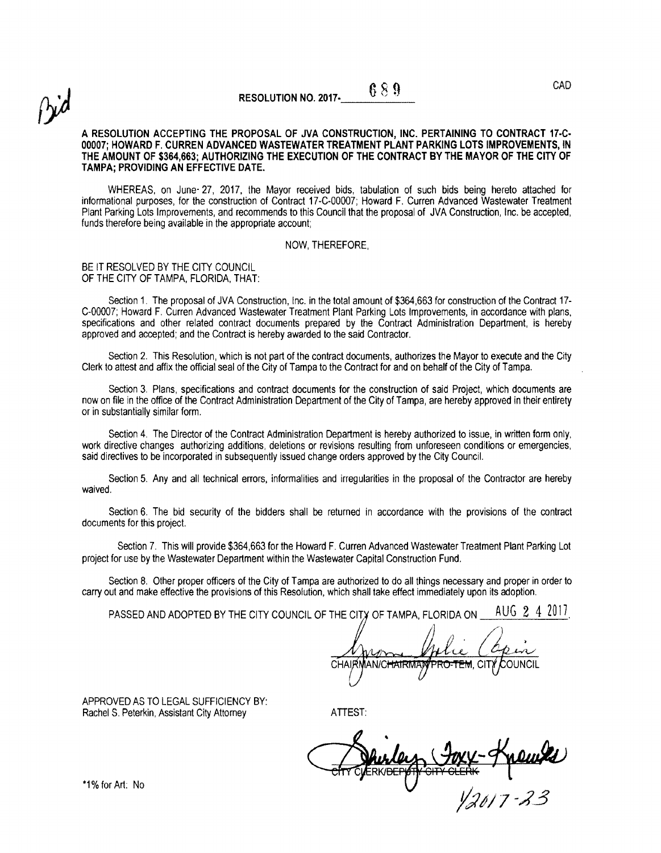

## A RESOLUTION ACCEPTING THE PROPOSAL OF JVA CONSTRUCTION, lNC. PERTAINING TO CONTRACT 17-C-00007; HOWARD F. CURREN ADVANCED WASTEWATER TREATMENT PLANT PARKING LOTS IMPROVEMENTS, IN THE AMOUNT OF \$364,663; AuTHORIZING THE EXECUTION OF THE CONTRACT BY THE MAYOR OF THE CITY OF TAMPA; PROVIDING AN EFFECTIVE DATE.

WHEREAS, on June- 27, 2017, the Mayor received bids, tabulation of such bids being hereto attached for informational purposes, for the construction of Contract 17-C-00007; Howard F. Curren Advanced Wastewater Treatment Plant Parking Lots Improvements, and recommends to this Council that the proposal of JVA Construction, Inc. be accepted, funds therefore being available in the appropriate account;

## NOW. THEREFORE.

## BE IT RESOLVED BY THE CITY COUNCIL OF THE CITY OF TAMPA, FLORIDA, THAT:

Section 1. The proposal of JVA Construction, lnc. in the total amount of \$364,663 for construction of the Contract 17- C-00007; Howard F. Curren Advanced Wastewater Treatment Plant Parking Lots Improvements, in accordance with plans, specifications and other related contract documents prepared by the Contract Administration Department, is hereby approved and accepted; and the Contract is hereby awarded to the said Contractor.

Section 2. This Resolution, which is not part of the contract documents, authorizes the Mayor to execute and the City Clerk to attest and affix the official seal of the City of Tampa to the Contract for and on behalf of the City of Tampa.

Section 3. Plans, specifications and contract documents for the construction of said Project, which documents are now on file in the office of the Contract Administration Department of the City of Tamps, are hereby approved in their entirety or in substantially similar form

Section 4. The Director of the Contract Administration Department is hereby authorized to issue, in written form only, work directive changes authorizing additions, deletions or revisions resulting from unforeseen conditions or emergencies, said directives to be incorporated in subsequently issued change orders approved by the City Council.

Section 5. Any and all technical errors, informalities and irregularities in the proposal of the Contractor are hereby waived.

Section 6, The bid security of the bidders shall be returned in accordance with the provisions of the contract documents for this project.

Section 7. This will provide \$364,663 for the Howard F, Curren Advanced Wastewater Treatment Plant Parking Lot project for use by the Wastewater Department within the Wastewater Capital Construction Fund.

Section 8. Other proper officers of the City of Tampa are authorized to do all things necessary and proper in order to carry out and make effective the provisions of this Resolution, which shall take effect immediately upon its adoption.

AUG 2 4 2011 PASSED AND ADOPTED BY THE CITY COUNCIL OF THE CITY OF TAMPA, FLORIDA ON

<del>TEM</del>, CITÝ CHAIR IAN/C<del>HAIRMA</del> COUNCIL

APPROVED AS TO LEGAL SuFFICIENCY BY: Rachel S, Peterkin, Assistant City Attorney

ATTEST:

 $\frac{1}{4}$ CVERK/BEPPT

\*1% for Art: No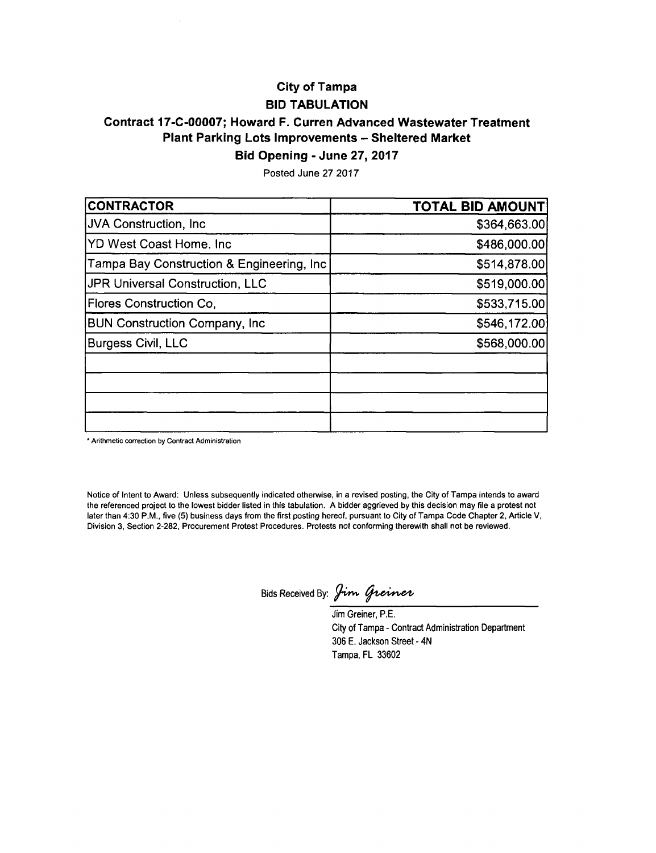# City of Tampa

## BID TABULATION

# Contract 17-C-00007; Howard F. Curren Advanced Wastewater Treatment Plant Parking Lots Improvements - Sheltered Market

Bid Opening - June 27, 2017

Posted June 27 2017

| <b>CONTRACTOR</b>                          | <b>TOTAL BID AMOUNT</b> |
|--------------------------------------------|-------------------------|
| <b>JVA Construction, Inc.</b>              | \$364,663.00            |
| IYD West Coast Home, Inc                   | \$486,000.00            |
| Tampa Bay Construction & Engineering, Inc. | \$514,878.00            |
| <b>JPR Universal Construction, LLC</b>     | \$519,000.00            |
| Flores Construction Co.                    | \$533,715.00            |
| <b>BUN Construction Company, Inc.</b>      | \$546,172.00            |
| <b>Burgess Civil, LLC</b>                  | \$568,000.00            |
|                                            |                         |
|                                            |                         |
|                                            |                         |

\* Arithmetic correction by Contract Administration

Notice of Intent to Award: Unless subsequently indicated otherwise, in a revised posting, the City of Tampa intends to award the referenced project to the lowest bidder listed in this tabulation. A bidder aggrieved by this decision may file a protest not later than 4:30 P.M., five (5) business days from the first posting hereof, pursuant to City of Tampa Code Chapter 2, Article V, Division 3, Section 2-282, Procurement Protest Procedures, Protests not confoming therewith shall not be reviewed.

Bids Received By: Jim Greiner

Jim Greiner, P.E. City of Tampa - Contract Administration Department 306 E. Jackson Street - 4N Tampa, FL 33602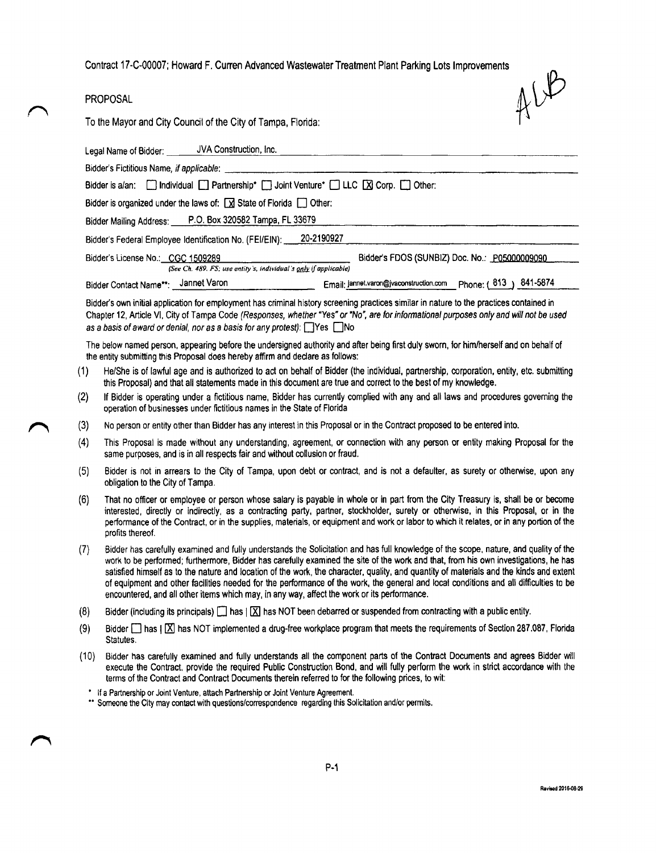Contract 17-C-00007; Howard F. Curren Advanced Wastewater Treatment Plant Parking Lots Improvements

## **PROPOSAL**



To the Mayor and City Council of the City of Tampa, Florida:

| Bidder is a/an: Individual I Partnership* I Joint Venture* I LLC [X] Corp. I Other:                                                      |
|------------------------------------------------------------------------------------------------------------------------------------------|
| Bidder is organized under the laws of: $\boxtimes$ State of Florida $\Box$ Other:                                                        |
| Bidder Mailing Address: P.O. Box 320582 Tampa, FL 33679                                                                                  |
| Bidder's Federal Employee Identification No. (FEI/EIN): 20-2190927                                                                       |
| Bidder's FDOS (SUNBIZ) Doc. No.: P05000009090<br>Bidder's License No.: CGC 1509289                                                       |
| (See Ch. 489. FS; use entity s, individual's only if applicable)                                                                         |
| Email: jannet.varon@jvaconstruction.com Phone: (813) 841-5874<br>Bidder Contact Name**: Jannet Varon                                     |
| Bidder's own initial application for employment has criminal history screening practices similar in nature to the practices contained in |

Chapter 12, Article VI, City of Tampa Code (Responses, whether "Yes" or "No", are for informational purposes only and will not be used as a basis of award or denial, nor as a basis for any protest):  $\Box$  Yes  $\Box$  No

The below named person, appearing before the undersigned authority and after being first duly sworn, for him/herself and on behalf of the entity submitting this Proposal does hereby affirm and declare as follows:

- He/She is of lawful age and is authorized to act on behalf of Bidder (the individual, partnership, corporation, entity, etc. submitting  $(1)$ this Proposal) and that all statements made in this document are true and correct to the best of my knowledge.
- $(2)$ If Bidder is operating under a fictitious name, Bidder has currently complied with any and all laws and procedures governing the operation of businesses under fictitious names in the State of Florida
- $(3)$ No person or entity other than Bidder has any interest in this Proposal or in the Contract proposed to be entered into.
- This Proposal is made without any understanding, agreement, or connection with any person or entity making Proposal for the  $(4)$ same purposes, and is in all respects fair and without collusion or fraud.
- $(5)$ Bidder is not in arrears to the City of Tampa, upon debt or contract, and is not a defaulter, as surety or otherwise, upon any obligation to the City of Tampa.
- That no officer or employee or person whose salary is payable in whole or in part from the City Treasury is, shall be or become  $(6)$ interested, directly or indirectly, as a contracting party, partner, stockholder, surety or otherwise, in this Proposal, or in the performance of the Contract, or in the supplies, materials, or equipment and work or labor to which it relates, or in any portion of the profits thereof.
- $(7)$ Bidder has carefully examined and fully understands the Solicitation and has full knowledge of the scope, nature, and quality of the work to be performed; furthermore, Bidder has carefully examined the site of the work and that, from his own investigations, he has satisfied himself as to the nature and location of the work, the character, quality, and quantity of materials and the kinds and extent of equipment and other facilities needed for the performance of the work, the general and local conditions and all difficulties to be encountered, and all other items which may, in any way, affect the work or its performance.
- Bidder (including its principals)  $\Box$  has  $|\Box|$  has NOT been debarred or suspended from contracting with a public entity.  $(8)$
- $(9)$ Bidder nas | X has NOT implemented a drug-free workplace program that meets the requirements of Section 287.087, Florida Statutes.
- $(10)$ Bidder has carefully examined and fully understands all the component parts of the Contract Documents and agrees Bidder will execute the Contract, provide the required Public Construction Bond, and will fully perform the work in strict accordance with the terms of the Contract and Contract Documents therein referred to for the following prices, to wit:
	- \* If a Partnership or Joint Venture, attach Partnership or Joint Venture Agreement.
	- \*\* Someone the City may contact with questions/correspondence regarding this Solicitation and/or permits.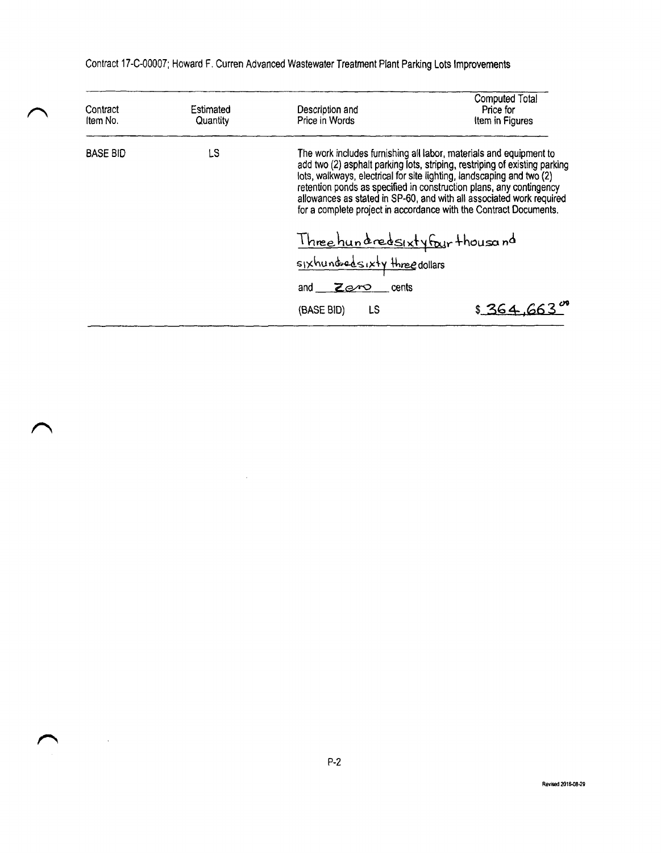| Contract<br>item No. | Estimated<br>Quantity | Description and<br>Price in Words                                     | <b>Computed Total</b><br>Price for<br>Item in Figures                                                                                                                                                                                                                                                                                                                |
|----------------------|-----------------------|-----------------------------------------------------------------------|----------------------------------------------------------------------------------------------------------------------------------------------------------------------------------------------------------------------------------------------------------------------------------------------------------------------------------------------------------------------|
| <b>BASE BID</b>      | LS                    | lots, walkways, electrical for site lighting, landscaping and two (2) | The work includes furnishing all labor, materials and equipment to<br>add two (2) asphalt parking lots, striping, restriping of existing parking<br>retention ponds as specified in construction plans, any contingency<br>allowances as stated in SP-60, and with all associated work required<br>for a complete project in accordance with the Contract Documents. |
|                      |                       | Three hundredsixty four thousand<br>sixhundredsixty three dollars     |                                                                                                                                                                                                                                                                                                                                                                      |
|                      |                       | and $Ze^{rQ}$<br>cents                                                |                                                                                                                                                                                                                                                                                                                                                                      |
|                      |                       | <b>LS</b><br>(BASE BID)                                               | \$364.66                                                                                                                                                                                                                                                                                                                                                             |

 $\sim$ 

Contract 17-C-00007; Howard F. Curren Advanced Wastewater Treatment Plant Parking Lots Improvements

 $\curvearrowright$ 

 $\curvearrowright$ 

 $\curvearrowleft$ 

 $\sim 10^{11}$  k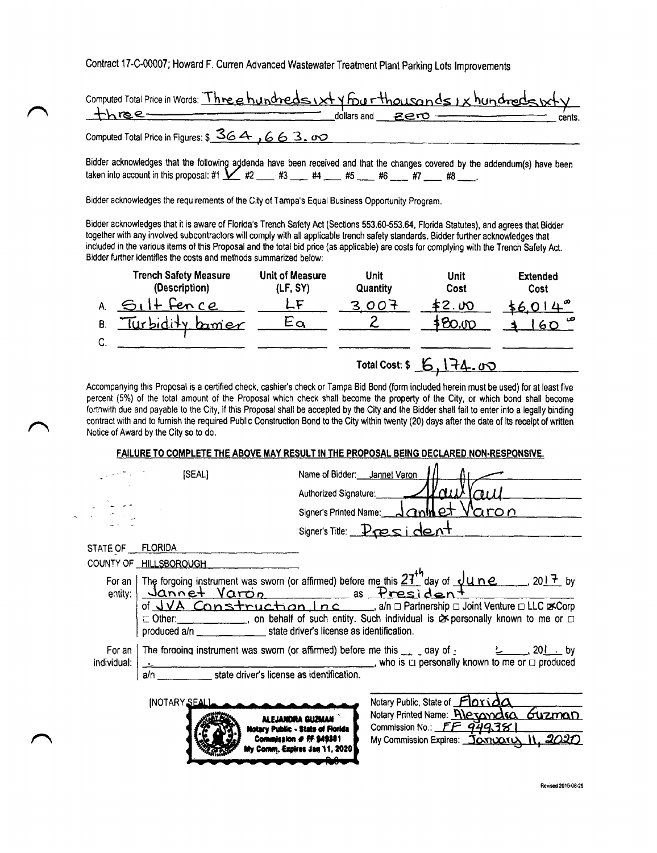Contract 17-C-00007; Howard F. Curren Advanced Wastewater Treatment Plant Parking Lots Improvements

| Computed Total Price in Words: Three hundreds 1xt Y four thousands 1 x hundreds 1xt y |                  |  |        |
|---------------------------------------------------------------------------------------|------------------|--|--------|
| .nnee                                                                                 | dollars and zero |  | cents. |
| Computed Total Price in Figures: $$364, 663.$ or 2                                    |                  |  |        |

Bidder acknowledges that the following addenda have been received and that the changes covered by the addendum(s) have been taken into account in this proposal: #1  $\cancel{\phantom{1}}$  #2  $\cancel{\phantom{1}}$  #3  $\cancel{\phantom{1}}$  #4  $\cancel{\phantom{1}}$  #5

Bidder acknowledges the requirements of the City of Tampa's Equal Business Opportunity Program.

Bidder acknowledges that it is aware of Florida's Trench Safety Act (Sections 553.60-553.64, Florida Statutes), and agrees that Bidder together with any involved subcontractors will comply with all applicable trench safety standards. Bidder further acknowledges that included in the various items of this Proposal and the total bid price (as applicable) are costs for complying with the Trench Safety Act. Bidder further identifies the costs and methods summarized below:

|    | <b>Trench Safety Measure</b><br>(Description) | Unit of Measure<br>(LF, SY) | <b>Unit</b><br>Quantity | Unit<br>Cost    | <b>Extended</b><br>Cost |
|----|-----------------------------------------------|-----------------------------|-------------------------|-----------------|-------------------------|
|    | $S_1$ It fence                                |                             | 3007                    | ≴2. ທ           | <u>:6.0</u>             |
| B. | Turbidity bamier                              | Ea                          |                         | \$ <u>80.00</u> | 60                      |
|    |                                               |                             |                         |                 |                         |
|    |                                               |                             | Total Cost: \$          | $5.1 + 4.00$    |                         |

Accompanying this Proposal is a certified check, cashier's check or Tampa Bid Bond (form included herein must be used) for at least five percent (5%) of the total amount of the Proposal which check shall become the property of the City, or which bond shall become forthwith due and payable to the City, if this Proposal shall be accepted by the City and the Bidder shall fail to enter into a legally binding contract with and to furnish the required Public Construction Bond to the City within twenty (20) days after the date of its receipt of written Notice of Award by the City so to do.

## FAILURE TO COMPLETE THE ABOVE MAY RESULT IN THE PROPOSAL BEING DECLARED NON-RESPONSIVE.

|                  | [SEAL]                                        | Name of Bidder: Jannet Varon                                                                                                                                                                                                                                                                                                                                                                               |
|------------------|-----------------------------------------------|------------------------------------------------------------------------------------------------------------------------------------------------------------------------------------------------------------------------------------------------------------------------------------------------------------------------------------------------------------------------------------------------------------|
|                  |                                               |                                                                                                                                                                                                                                                                                                                                                                                                            |
|                  |                                               | Signer's Printed Name: Janhet Varon                                                                                                                                                                                                                                                                                                                                                                        |
|                  |                                               | Signer's Title: $P_{res}$ i dent                                                                                                                                                                                                                                                                                                                                                                           |
| STATE OF FLORIDA |                                               |                                                                                                                                                                                                                                                                                                                                                                                                            |
|                  | COUNTY OF HILLSBOROUGH                        |                                                                                                                                                                                                                                                                                                                                                                                                            |
|                  |                                               | For an   The forgoing instrument was sworn (or affirmed) before me this $27^{19}$ day of $\sqrt{u \, \text{ne}}$ $\sqrt{u \, \text{ne}}$ 2017 by<br>entity: <u>Jannet Varon</u> as President<br>of JVA Construction, Inc. ____, a/n o Partnership o Joint Venture o LLC & Corp<br>$\Box$ Other: _______________, on behalf of such entity. Such individual is $\triangle$ personally known to me or $\Box$ |
| individual:      | a/n state driver's license as identification. | For an   The forgoing instrument was sworn (or affirmed) before me this $\sim$ $\sim$ asy of $\sim$ $\sim$ $\sim$ $\sim$ 201 $\sim$ by<br>who is $\Box$ personally known to me or $\Box$ produced                                                                                                                                                                                                          |
|                  | [NOTARY SEALL                                 | Notary Public, State of Florida<br>Notary Printed Name: RIetondra Guzman<br><u>IDRA GHZMAN</u><br>Commission No.: FF 949381<br>My Commission Expires: Jonvary 11, 2020                                                                                                                                                                                                                                     |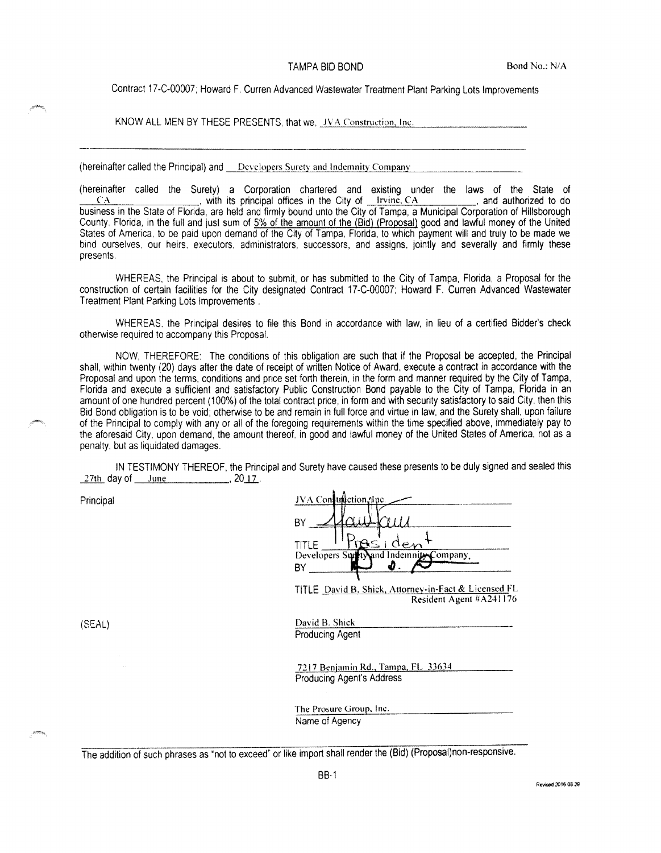### TAMPA BID BOND

Contract 17-C-00007; Howard F. Curren Advanced Wastewater Treatment Plant Parking Lots Improvements

KNOW ALL MEN BY THESE PRESENTS, that we. JVA Construction, Inc.

(hereinafter called the Principal) and Developers Surety and Indemnity Company

(hereinafter called the Surety) a Corporation chartered and existing under the laws of the State of CA with its principal offices in the City of Irvine, CA and authorized to do business in the State of Florida, are held and firmly bound unto the City of Tampa, a Municipal Corporation of Hillsborough County. Florida, in the full and just sum of 5% of the amount of the (Bid) (Proposal) good and lawful money of the United States of America, to be paid upon demand of the City of Tampa, Florida, to which payment will and truly to be made we bind ourselves, our heirs, executors, administrators, successors, and assigns, jointly and severally and firmly these presents.

WHEREAS, the Principal is about to submit, or has submitted to the City of Tampa, Florida, a Proposal for the construction of certain facilities for the City designated Contract 17-C-00007; Howard F. Curren Advanced Wastewater Treatment Plant Parking Lots Improvements.

WHEREAS, the Principal desires to file this Bond in accordance with law, in lieu of a certified Bidder's check otherwise required to accompany this Proposal.

NOW, THEREFORE: The conditions of this obligation are such that if the Proposal be accepted, the Principal shall, within twenty (20) days after the date of receipt of written Notice of Award, execute a contract in accordance with the Proposal and upon the terms, conditions and price set forth therein, in the form and manner required by the City of Tampa, Florida and execute a sufficient and satisfactory Public Construction Bond payable to the City of Tampa, Florida in an amount of one hundred percent (100%) of the total contract price, in form and with security satisfactory to said City, then this Bid Bond obligation is to be void; otherwise to be and remain in full force and virtue in law, and the Surety shall, upon failure of the Principal to comply with any or all of the foregoing requirements within the time specified above, immediately pay to the aforesaid City, upon demand, the amount thereof, in good and lawful money of the United States of America, not as a penalty, but as liquidated damages.

IN TESTIMONY THEREOF, the Principal and Surety have caused these presents to be duly signed and sealed this 27th day of June 2017.

Principal

|              | JVA Contridiction Alpe.                  |
|--------------|------------------------------------------|
|              |                                          |
|              | <u>residen</u>                           |
| <b>TITLE</b> | Developers Surft Mand Indemnity Company, |
|              |                                          |

TITLE David B. Shick, Attorney-in-Fact & Licensed FL Resident Agent #A241176

 $(SEAL)$ 

David B. Shick **Producing Agent** 

7217 Benjamin Rd., Tampa, FL 33634 **Producing Agent's Address** 

The Prosure Group, Inc. Name of Agency

The addition of such phrases as "not to exceed" or like import shall render the (Bid) (Proposal)non-responsive.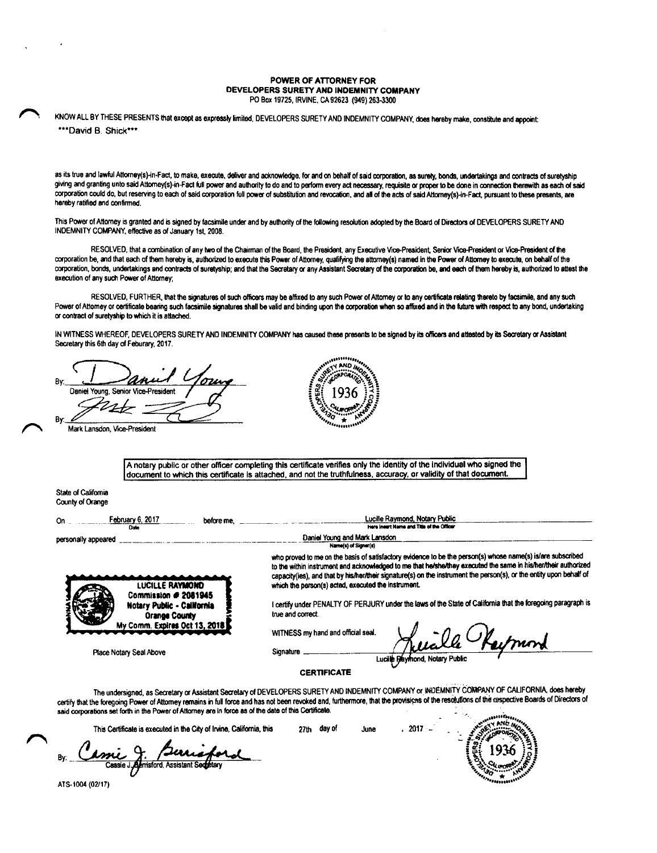#### POWER OF ATTORNEY FOR DEVELOPERS SURETY AND INDEMNITY COMPANY PO Box 19725, IRVINE, CA 92623 (949) 263-3300

KNOW ALL BY THESE PRESENTS that except as expressly limited, DEVELOPERS SURETY AND INDEMNITY COMPANY, does hereby make, constitute and appoint: \*\*\*David B. Shick\*\*\*

as its true and lawful Attorney(s)-in-Fact, to make, execute, deliver and acknowledge, for and on behalf of said corporation, as surely, bonds, undertakings and contracts of suretyship giving and granting unto said Attorney(s)-in-Fact full power and authority to do and to perform every act necessary, requisite or proper to be done in connection therewith as each of said corporation could do, but reserving to each of said corporation full power of substitution and revocation, and all of the acts of said Attorney(s)-in-Fact, pursuant to these presents, are hereby ratified and confirmed.

This Power of Attorney is granted and is signed by facsimile under and by authority of the following resolution adopted by the Board of Directors of DEVELOPERS SURETY AND INDEMNITY COMPANY, effective as of January 1st, 2008.

RESOLVED, that a combination of any two of the Chairman of the Board, the President, any Executive Vice-President, Senior Vice-President or Vice-President of the corporation be, and that each of them hereby is, authorized to execute this Power of Attorney, qualifying the attorney's) named in the Power of Attorney to execute, on behalf of the corporation, bonds, undertakings and contracts of suretyship; and that the Secretary or any Assistant Secretary of the corporation be, and each of them hereby is, authorized to attest the execution of any such Power of Attorney;

RESOLVED, FURTHER, that the signatures of such officers may be affixed to any such Power of Attorney or to any certificate relating thereto by facsimile, and any such Power of Attorney or certificate bearing such facsimile signatures shall be valid and binding upon the corporation when so affixed and in the future with respect to any bond, undertaking or contract of suretyship to which it is attached.

IN WITNESS WHEREOF, DEVELOPERS SURETY AND INDEMNITY COMPANY has caused these presents to be signed by its officers and attested by its Secretary or Assistant Secretary this 6th day of Feburary, 2017.

Daniel Young, Senior Vice-President Bv

Mark Lansdon, Vice-President



A notary public or other officer completing this certificate verifies only the identity of the individual who signed the document to which this certificate is attached, and not the truthfulness, accuracy, or validity of that document.

State of California County of Orange

| On                  | February 6, 2017<br><b>Date</b>                           | before me. | Lucille Raymond, Notary Public<br>Here Insert Name and Title of the Officer                                                                                                                                                                                                                                                                                                                                 |  |  |
|---------------------|-----------------------------------------------------------|------------|-------------------------------------------------------------------------------------------------------------------------------------------------------------------------------------------------------------------------------------------------------------------------------------------------------------------------------------------------------------------------------------------------------------|--|--|
| personally appeared |                                                           |            | Daniel Young and Mark Lansdon<br>Name(s) of Signer(s)                                                                                                                                                                                                                                                                                                                                                       |  |  |
|                     | LUCILLE RAYMOND                                           |            | who proved to me on the basis of satisfactory evidence to be the person(s) whose name(s) is/are subscribed<br>to the within instrument and acknowledged to me that he/she/they executed the same in his/her/their authorized<br>capacity (ies), and that by his/her/their signature(s) on the instrument the person(s), or the entity upon behalf of<br>which the person(s) acted, executed the instrument. |  |  |
|                     | Commission # 2081945<br><b>Notary Public - California</b> |            | I certify under PENALTY OF PERJURY under the laws of the State of California that the foregoing paragraph is                                                                                                                                                                                                                                                                                                |  |  |

I certify under PENALTY OF PERJURY under the laws of the State of California that the foregoing paragraph is true and correct.

 $.2017-.$ 

**June** 

WITNESS my hand and official seal.

Signature

Place Notary Seal Above

ond. Notary Public Lucille R

**CERTIFICATE** 

The undersigned, as Secretary or Assistant Secretary of DEVELOPERS SURETY AND INDEMNITY COMPANY or WUEMNITY COMPANY OF CALIFORNIA, does hereby certify that the foregoing Power of Attorney remains in full force and has not been revoked and, furthermore, that the provisions of the resolutions of the respective Boards of Directors of said corporations set forth in the Power of Attorney are in force as of the date of this Certificate.

27th day of

This Certificate is executed in the City of Irvine, California, this

**Orange County** My Comm. Expires Oct 13, 2018

Cassie J. isford, Assistant Seda

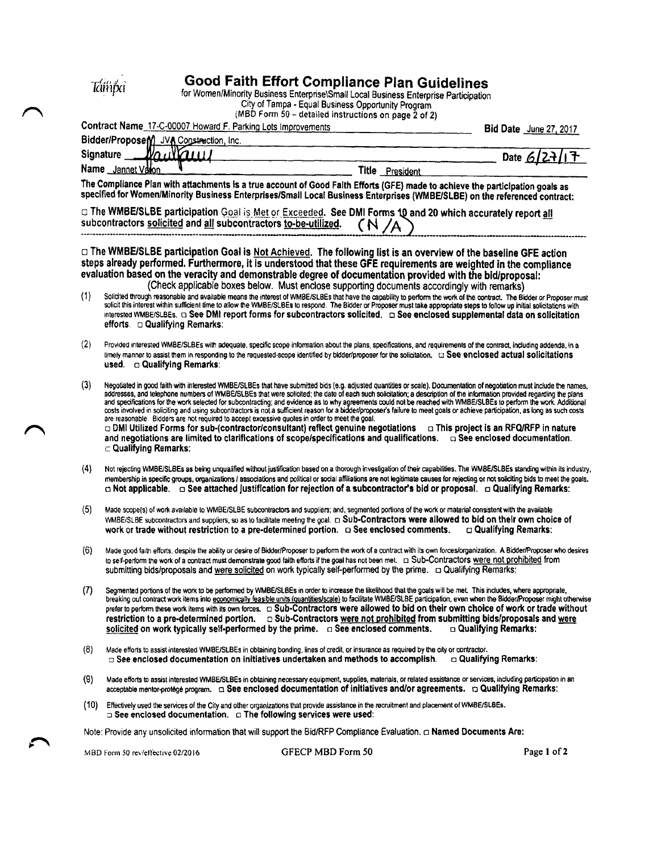$(1)$ 

|     | <b>Good Faith Effort Compliance Plan Guidelines</b><br>for Women/Minority Business Enterprise\Small Local Business Enterprise Participation<br>City of Tampa - Equal Business Opportunity Program                                                                                                                                                                                                                                                                                                                                                                                                                                                                                                                                                                                                                                                                                                                                                                                                                                                                                                |                            |
|-----|--------------------------------------------------------------------------------------------------------------------------------------------------------------------------------------------------------------------------------------------------------------------------------------------------------------------------------------------------------------------------------------------------------------------------------------------------------------------------------------------------------------------------------------------------------------------------------------------------------------------------------------------------------------------------------------------------------------------------------------------------------------------------------------------------------------------------------------------------------------------------------------------------------------------------------------------------------------------------------------------------------------------------------------------------------------------------------------------------|----------------------------|
|     | (MBD Form 50 - detailed instructions on page 2 of 2)                                                                                                                                                                                                                                                                                                                                                                                                                                                                                                                                                                                                                                                                                                                                                                                                                                                                                                                                                                                                                                             |                            |
|     | Contract Name_17-C-00007 Howard F. Parking Lots Improvements                                                                                                                                                                                                                                                                                                                                                                                                                                                                                                                                                                                                                                                                                                                                                                                                                                                                                                                                                                                                                                     | Bid Date June 27, 2017     |
|     | Bidder/ProposeM JVA Construction, Inc.<br><u>וווודאווייטון</u>                                                                                                                                                                                                                                                                                                                                                                                                                                                                                                                                                                                                                                                                                                                                                                                                                                                                                                                                                                                                                                   |                            |
|     | <b>Signature</b>                                                                                                                                                                                                                                                                                                                                                                                                                                                                                                                                                                                                                                                                                                                                                                                                                                                                                                                                                                                                                                                                                 | Date 6                     |
|     | Name _Jannet Valon<br>Title President                                                                                                                                                                                                                                                                                                                                                                                                                                                                                                                                                                                                                                                                                                                                                                                                                                                                                                                                                                                                                                                            |                            |
|     | The Compliance Plan with attachments is a true account of Good Faith Efforts (GFE) made to achieve the participation goals as<br>specified for Women/Minority Business Enterprises/Small Local Business Enterprises (WMBE/SLBE) on the referenced contract:                                                                                                                                                                                                                                                                                                                                                                                                                                                                                                                                                                                                                                                                                                                                                                                                                                      |                            |
|     | □ The WMBE/SLBE participation Goal is Met or Exceeded. See DMI Forms 10 and 20 which accurately report all<br>subcontractors solicited and all subcontractors to-be-utilized.<br>(N/A)                                                                                                                                                                                                                                                                                                                                                                                                                                                                                                                                                                                                                                                                                                                                                                                                                                                                                                           |                            |
| (1) | □ The WMBE/SLBE participation Goal is Not Achieved. The following list is an overview of the baseline GFE action<br>steps already performed. Furthermore, it is understood that these GFE requirements are weighted in the compliance<br>evaluation based on the veracity and demonstrable degree of documentation provided with the bid/proposal:<br>(Check applicable boxes below. Must enclose supporting documents accordingly with remarks)<br>Solicited through reasonable and available means the interest of WMBE/SLBEs that have the capability to perform the work of the contract. The Bidder or Proposer must<br>solicit this interest within sufficient time to allow the WMBE/SLBEs to respond. The Bidder or Proposer must take appropriate steps to follow up initial solicitations with<br>interested WMBE/SLBEs. a See DMI report forms for subcontractors solicited. a See enclosed supplemental data on solicitation<br>efforts. $\Box$ Qualifying Remarks:                                                                                                                  |                            |
| (2) | Provided interested WMBE/SLBEs with adequate, specific scope information about the plans, specifications, and requirements of the contract, including addenda, in a<br>timely manner to assist them in responding to the requested-scope identified by bidder/proposer for the soligitation. $\Box$ See enclosed actual solicitations<br>used. $\Box$ Qualifying Remarks:                                                                                                                                                                                                                                                                                                                                                                                                                                                                                                                                                                                                                                                                                                                        |                            |
| (3) | Negotiated in good faith with interested WMBE/SLBEs that have submitted bids (e.g. adjusted quantities or scale). Documentation of negotiation must include the names,<br>addresses, and telephone numbers of WMBE/SLBEs that were solicited; the date of each such solicitation; a description of the information provided regarding the plans<br>and specifications for the work selected for subcontracting; and evidence as to why agreements could not be reached with WMBE/SLBEs to perform the work. Additional<br>costs involved in soliciting and using subcontractors is not a sufficient reason for a bidder/proposer's failure to meet goals or achieve participation, as long as such costs<br>are reasonable. Bidders are not required to accept excessive quotes in order to meet the goal.<br>□ DMI Utilized Forms for sub-(contractor/consultant) reflect genuine negotiations □ This project is an RFQ/RFP in nature<br>and negotiations are limited to clarifications of scope/specifications and qualifications. $\Box$ See enclosed documentation.<br>□ Qualifying Remarks: |                            |
| (4) | Not rejecting WMBE/SLBEs as being unqualified without justification based on a thorough investigation of their capabilities. The WMBE/SLBEs standing within its industry,<br>membership in specific groups, organizations / associations and political or social affiliations are not legitimate causes for rejecting or not soliciting bids to meet the goals.<br>$\circ$ Not applicable. $\circ$ See attached justification for rejection of a subcontractor's bid or proposal. $\circ$ Qualifying Remarks:                                                                                                                                                                                                                                                                                                                                                                                                                                                                                                                                                                                    |                            |
| (5) | Made scope(s) of work available to WMBE/SLBE subcontractors and suppliers; and, segmented portions of the work or material consistent with the available<br>WMBE/SLBE subcontractors and suppliers, so as to facilitate meeting the goal. [1] Sub-Contractors were allowed to bid on their own choice of<br>work or trade without restriction to a pre-determined portion. $\Box$ See enclosed comments.                                                                                                                                                                                                                                                                                                                                                                                                                                                                                                                                                                                                                                                                                         | $\Box$ Qualifying Remarks: |
| (6) | Made good faith efforts, despite the ability or desire of Bidder/Proposer to perform the work of a contract with its own forces/organization. A Bidder/Proposer who desires<br>submitting bids/proposals and were solicited on work typically self-performed by the prime. $\Box$ Qualifying Remarks:                                                                                                                                                                                                                                                                                                                                                                                                                                                                                                                                                                                                                                                                                                                                                                                            |                            |
| (7) | Segmented portions of the work to be performed by WMBE/SLBEs in order to increase the likelihood that the goals will be met. This includes, where appropriate,<br>breaking out contract work items into economically feasible units (quantities/scale) to facilitate WMBE/SLBE participation, even when the Bidder/Proposer might otherwise<br>prefer to perform these work items with its own forces, $\Box$ Sub-Contractors were allowed to bid on their own choice of work or trade without<br>restriction to a pre-determined portion. $\Box$ Sub-Contractors were not prohibited from submitting bids/proposals and were<br>solicited on work typically self-performed by the prime. $\Box$ See enclosed comments,                                                                                                                                                                                                                                                                                                                                                                          | □ Qualifying Remarks:      |
| (8) | Made efforts to assist interested WMBE/SLBEs in obtaining bonding, lines of credit, or insurance as required by the city or contractor.<br>$\Box$ See enclosed documentation on initiatives undertaken and methods to accomplish.                                                                                                                                                                                                                                                                                                                                                                                                                                                                                                                                                                                                                                                                                                                                                                                                                                                                | □ Qualifying Remarks:      |

- Made efforts to assist interested WMBE/SLBEs in obtaining necessary equipment, supplies, materials, or related assistance or services, including participation in an acceptable mentor-protégé program.  $(9)$
- (10) Effectively used the services of the City and other organizations that provide assistance in the recruitment and placement of WMBE/SLBEs. 
<br>  $\Box$  See enclosed documentation,  $\Box$  The following services were used:

Note: Provide any unsolicited information that will support the Bid/RFP Compliance Evaluation. a Named Documents Are:

MBD Form 50 rev/effective 02/2016

GFECP MBD Form 50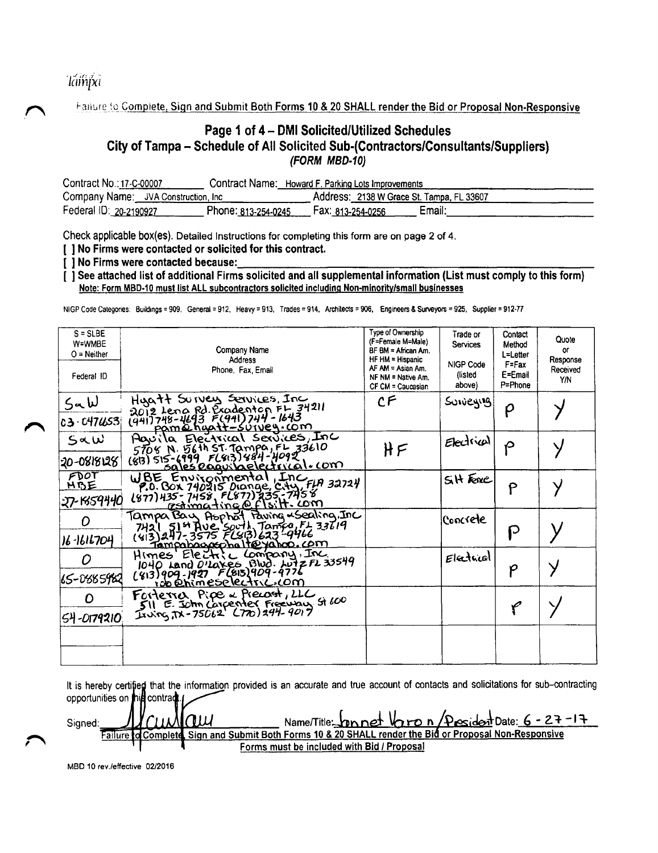Támpa

Failure to Complete, Sign and Submit Both Forms 10 & 20 SHALL render the Bid or Proposal Non-Responsive

# Page 1 of 4 - DMI Solicited/Utilized Schedules City of Tampa - Schedule of All Solicited Sub-(Contractors/Consultants/Suppliers) (FORM MBD-10)

| Contract No.: 17-C-00007             | Contract Name: L    | Howard F. Parking Lots Improvements       |        |
|--------------------------------------|---------------------|-------------------------------------------|--------|
| Company Name: JVA Construction, Inc. |                     | Address: 2138 W Grace St. Tampa, FL 33607 |        |
| Federal ID: 20-2190927               | Phone: 813-254-0245 | Fax: 813-254-0256                         | Email: |

Check applicable box(es). Detailed Instructions for completing this form are on page 2 of 4.

[ ] No Firms were contacted or solicited for this contract.

[ ] No Firms were contacted because:

[] See attached list of additional Firms solicited and all supplemental information (List must comply to this form) Note: Form MBD-10 must list ALL subcontractors solicited including Non-minority/small businesses

NIGP Code Categories: Buildings = 909. General = 912, Heavy = 913, Trades = 914, Architects = 906, Engineers & Surveyors = 925, Supplier = 912-77

| $S = S LBE$<br>W=WMBE<br>$O =$ Neither<br>Federal ID | Company Name<br>Address<br>Phone, Fax, Email                                                                                                                       | Type of Ownership<br>(F=Female M=Male)<br>BF BM = African Am.<br>$HFHM = Hispanic$<br>AF AM = Asian Am.<br>NF NM = Native Am.<br>CF CM = Caucasian | Trade or<br>Services<br>NIGP Code<br>(listed<br>above) | Contact<br>Method<br>L=Letter<br>F=Fax<br>E=Email<br>P=Phone | Quote<br>or<br>Response<br>Received<br><b>Y/N</b> |
|------------------------------------------------------|--------------------------------------------------------------------------------------------------------------------------------------------------------------------|----------------------------------------------------------------------------------------------------------------------------------------------------|--------------------------------------------------------|--------------------------------------------------------------|---------------------------------------------------|
| $5$ a $W$                                            | Hugatt Survey Services, Inc.                                                                                                                                       | CF                                                                                                                                                 | Surveying                                              | ρ                                                            |                                                   |
| C3·C47663                                            | <u>pamahaatt-survey.com</u>                                                                                                                                        |                                                                                                                                                    |                                                        |                                                              |                                                   |
| $S\propto W$                                         | Howila Electrical Services, Inc<br>5708 N. 567h St. Tampa, FL 33610<br>(813) 515-6999 FL813) 884-4092.                                                             | HF                                                                                                                                                 | Electrical                                             |                                                              |                                                   |
| 20-0818128                                           | <u>sales eagus belectrical. com</u>                                                                                                                                |                                                                                                                                                    |                                                        |                                                              |                                                   |
| <b>FDOT</b><br>HDE                                   | UBE Environmental, Inc. FUA 32724<br>P.O. BOX 740215 Drange, City, FUA 32724<br>1877) 435 - 7458, FL877) 235 - 7458<br>Estimating@flsitt.com                       |                                                                                                                                                    | $S$ H Fenc                                             | P                                                            |                                                   |
| 27-1359440                                           |                                                                                                                                                                    |                                                                                                                                                    |                                                        |                                                              |                                                   |
| D<br>16-1616704                                      | Tampa Bay Asphat Faving & Sealing, Inc.<br>$51$ <sup>st</sup> Ave, South, Tampa, $F+$ 33 $I/9$<br>7H2 I<br>(413)247-3575 FLSB)623-9466<br>Tamogbaaschalt@yahoo.com |                                                                                                                                                    | Concrete                                               | D                                                            |                                                   |
| 165-0885982                                          | Himes Electric Company, Inc.<br>1040 Land D'Laxes Blud. Lut 2 FL 33549<br><u>ido@himeselectric.com</u>                                                             |                                                                                                                                                    | $E$ lectricol                                          | p                                                            |                                                   |
| O<br>54-0179210                                      | Forterra Pipe & Precord, LLC<br>511 E. John Carpenter Freeuzy St 600<br>Juving, TX-75062 (770) 244-9017                                                            |                                                                                                                                                    |                                                        |                                                              |                                                   |
|                                                      |                                                                                                                                                                    |                                                                                                                                                    |                                                        |                                                              |                                                   |

It is hereby certified that the information provided is an accurate and true account of contacts and solicitations for sub-contracting opportunities on this contrad

Qui Mame/Title: mn net Voron (Pesident Date: 6 - 27 - 17 Signed: Complete **Failure** Forms must be included with Bid / Proposal

MBD 10 rev./effective 02/2016